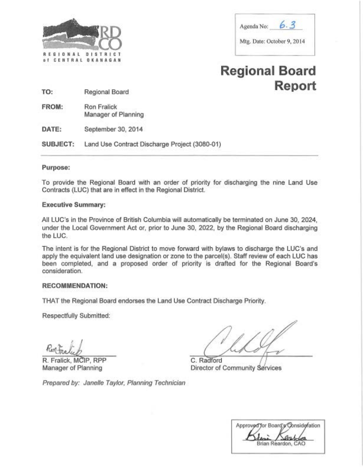

| Agenda No:<br>in the company of the company of the company of the company of the company of the company of the company of the |  |
|-------------------------------------------------------------------------------------------------------------------------------|--|
| Mtg. Date: October 9, 2014                                                                                                    |  |

# **Regional Board Report TO:** Regional Board

FROM: Ron Fralick Manager of Planning

**DATE:** September 30, 2014

**SUBJECT:** Land Use Contract Discharge Project (3080-01)

# **Purpose:**

To provide the Regional Board with an order of priority for discharging the nine Land Use Contracts (LUC) that are in effect in the Regional District.

# **Executive Summary:**

All LUC's in the Province of British Columbia will automatically be terminated on June 30, 2024, under the Local Government Act or, prior to June 30, 2022, by the Regional Board discharging the LUC.

The intent is for the Regional District to move forward with bylaws to discharge the LUC's and apply the equivalent land use designation or zone to the parcel(s). Staff review of each LUC has been completed, and a proposed order of priority is drafted for the Regional Board's consideration.

# **RECOMMENDATION:**

THAT the Regional Board endorses the Land Use Contract Discharge Priority.

Respectfully Submitted:

R. Fralick, MCIP, RPP Manager of Planning

C. Radford

Director of Community Services

Prepared by: Janelle Taylor, Planning Technician

Approved for Board's Consideration Brian Reardon, CAO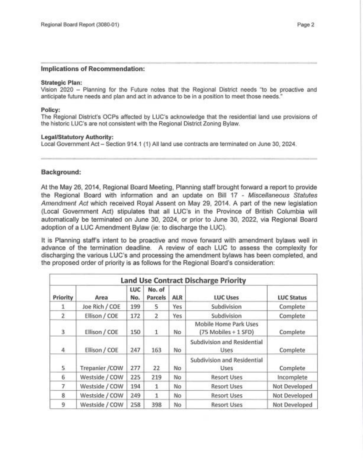### **Implications of Recommendation:**

#### **Strategic Plan:**

Vision 2020 - Planning for the Future notes that the Regional District needs "to be proactive and anticipate future needs and plan and act in advance to be in a position to meet those needs."

#### **Policy:**

The Regional District's OCPs affected by LUC's acknowledge that the residential land use provisions of the historic LUC's are not consistent with the Regional District Zoning Bylaw.

#### **Legal/Statutory Authority:**

Local Government Act - Section 914.1 (1) All land use contracts are terminated on June 30, 2024.

# **Background:**

At the May 26, 2014, Regional Board Meeting, Planning staff brought forward a report to provide the Regional Board with information and an update on Bill 17 - Miscellaneous Statutes Amendment Act which received Royal Assent on May 29, 2014. A part of the new legislation (Local Government Act) stipulates that all LUC's in the Province of British Columbia will automatically be terminated on June 30, 2024, or prior to June 30, 2022, via Regional Board adoption of a LUC Amendment Bylaw (ie: to discharge the LUC).

It is Planning staff's intent to be proactive and move forward with amendment bylaws well in advance of the termination deadline. A review of each LUC to assess the complexity for discharging the various LUC's and processing the amendment bylaws has been completed, and the proposed order of priority is as follows for the Regional Board's consideration:

| <b>Land Use Contract Discharge Priority</b> |                |            |                   |            |                                               |                   |  |
|---------------------------------------------|----------------|------------|-------------------|------------|-----------------------------------------------|-------------------|--|
| Priority                                    | Area           | LUC<br>No. | No. of<br>Parcels | <b>ALR</b> | <b>LUC Uses</b>                               | <b>LUC Status</b> |  |
| 1                                           | Joe Rich / COE | 199        | 5                 | Yes        | Subdivision                                   | Complete          |  |
| $\overline{2}$                              | Ellison / COE  | 172        | $\overline{2}$    | Yes        | Subdivision                                   | Complete          |  |
| 3                                           | Ellison / COE  | 150        | 1                 | No.        | Mobile Home Park Uses<br>(75 Mobiles + 1 SFD) | Complete          |  |
| 4                                           | Ellison / COE  | 247        | 163               | No         | Subdivision and Residential<br>Uses           | Complete          |  |
| 5                                           | Trepanier /COW | 277        | 22                | No         | Subdivision and Residential<br>Uses           | Complete          |  |
| 6                                           | Westside / COW | 225        | 219               | No         | <b>Resort Uses</b>                            | Incomplete        |  |
| 7                                           | Westside / COW | 194        | $\mathbf{1}$      | No         | <b>Resort Uses</b>                            | Not Developed     |  |
| 8                                           | Westside / COW | 249        | 1                 | No         | <b>Resort Uses</b>                            | Not Developed     |  |
| 9                                           | Westside / COW | 258        | 398               | No         | <b>Resort Uses</b>                            | Not Developed     |  |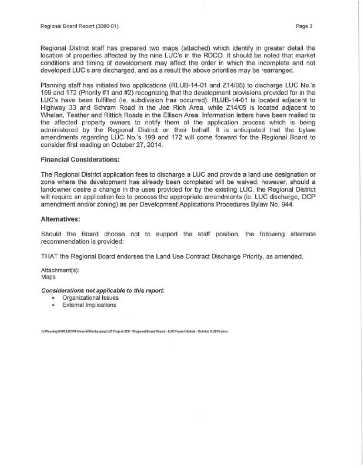Regional District staff has prepared two maps (attached) which identify in greater detail the location of properties affected by the nine LUC's in the RDCO. It should be noted that market conditions and timing of development may affect the order in which the incomplete and not developed LUC's are discharged, and as a result the above priorities may be rearranged.

Planning staff has initiated two applications (RLUB-14-01 and Z14/05) to discharge LUC No.'s 199 and 172 (Priority #1 and #2) recognizing that the development provisions provided for in the LUC's have been fulfilled (ie. subdivision has occurred). RLUB-14-01 is located adjacent to Highway 33 and Schram Road in the Joe Rich Area, while Z14/05 is located adjacent to Whelan, Teather and Rittich Roads in the Ellison Area. Information letters have been mailed to the affected property owners to notify them of the application process which is being administered by the Regional District on their behalf. It is anticipated that the bylaw amendments regarding LUC No.'s 199 and 172 will come forward for the Regional Board to consider first reading on October 27, 2014.

## **Financial Considerations:**

The Regional District application fees to discharge a LUC and provide a land use designation or zone where the development has already been completed will be waived; however, should a landowner desire a change in the uses provided for by the existing LUC, the Regional District will require an application fee to process the appropriate amendments (ie. LUC discharge, OCP amendment and/or zoning) as per Development Applications Procedures Bylaw No. 944.

## **Alternatives:**

Should the Board choose not to support the staff position, the following alternate recommendation is provided:

THAT the Regional Board endorses the Land Use Contract Discharge Priority, as amended.

Attachment(s): Maps

#### **Considerations not applicable to this report:**

- o Organizational Issues
- **<sup>o</sup>**External Implications

H:\Planning\3080-LUCl01-General\Discharging LUC Project 2014 -\Regional Board Report - LUC Project Update - October 9, 2014.docx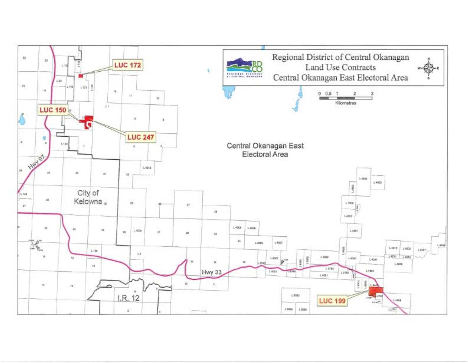